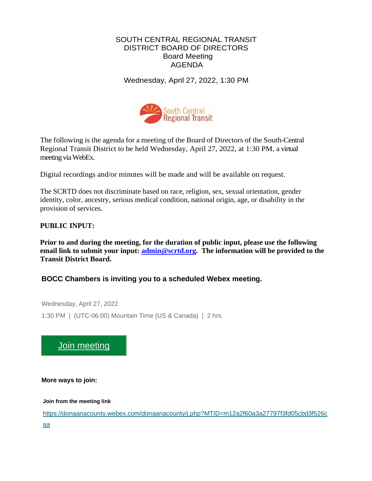# SOUTH CENTRAL REGIONAL TRANSIT DISTRICT BOARD OF DIRECTORS Board Meeting AGENDA

Wednesday, April 27, 2022, 1:30 PM



The following is the agenda for a meeting of the Board of Directors of the South-Central Regional Transit District to be held Wednesday, April 27, 2022, at 1:30 PM, a virtual meeting via WebEx.

Digital recordings and/or minutes will be made and will be available on request.

The SCRTD does not discriminate based on race, religion, sex, sexual orientation, gender identity, color, ancestry, serious medical condition, national origin, age, or disability in the provision of services.

# **PUBLIC INPUT:**

**Prior to and during the meeting, for the duration of public input, please use the following email link to submit your input: [admin@scrtd.org.](about:blank) The information will be provided to the Transit District Board.**

# **BOCC Chambers is inviting you to a scheduled Webex meeting.**

Wednesday, April 27, 2022 1:30 PM | (UTC-06:00) Mountain Time (US & Canada) | 2 hrs.

# [Join meeting](https://donaanacounty.webex.com/donaanacounty/j.php?MTID=m12a2f60a3a27797f3fd05cbd3f526caa)

**More ways to join:**

**Join from the meeting link**

[https://donaanacounty.webex.com/donaanacounty/j.php?MTID=m12a2f60a3a27797f3fd05cbd3f526c](https://donaanacounty.webex.com/donaanacounty/j.php?MTID=m12a2f60a3a27797f3fd05cbd3f526caa) [aa](https://donaanacounty.webex.com/donaanacounty/j.php?MTID=m12a2f60a3a27797f3fd05cbd3f526caa)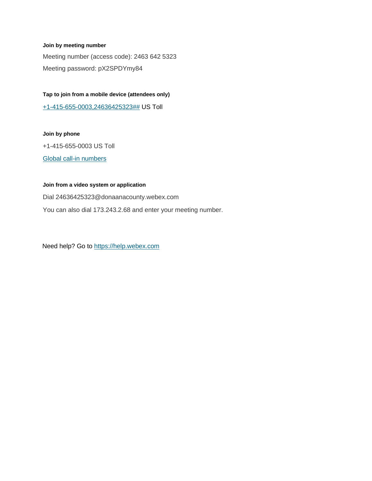#### **Join by meeting number**

Meeting number (access code): 2463 642 5323 Meeting password: pX2SPDYmy84

**Tap to join from a mobile device (attendees only)** [+1-415-655-0003,24636425323##](tel:%2B1-415-655-0003,,*01*24636425323%23%23*01*) US Toll

#### **Join by phone**

+1-415-655-0003 US Toll

[Global call-in numbers](https://donaanacounty.webex.com/donaanacounty/globalcallin.php?MTID=m4f9b17c7c46cfbec816ae462f63086e9)

#### **Join from a video system or application**

Dial 24636425323@donaanacounty.webex.com You can also dial 173.243.2.68 and enter your meeting number.

Need help? Go to [https://help.webex.com](https://help.webex.com/)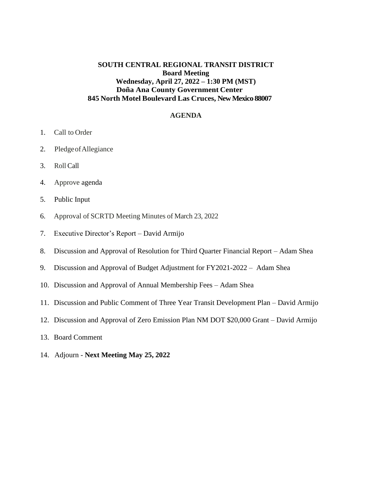# **SOUTH CENTRAL REGIONAL TRANSIT DISTRICT Board Meeting Wednesday, April 27, 2022 – 1:30 PM (MST) Doña Ana County Government Center 845 North Motel Boulevard Las Cruces, New Mexico 88007**

### **AGENDA**

- 1. Call to Order
- 2. PledgeofAllegiance
- 3. Roll Call
- 4. Approve agenda
- 5. Public Input
- 6. Approval of SCRTD Meeting Minutes of March 23, 2022
- 7. Executive Director's Report David Armijo
- 8. Discussion and Approval of Resolution for Third Quarter Financial Report Adam Shea
- 9. Discussion and Approval of Budget Adjustment for FY2021-2022 Adam Shea
- 10. Discussion and Approval of Annual Membership Fees Adam Shea
- 11. Discussion and Public Comment of Three Year Transit Development Plan David Armijo
- 12. Discussion and Approval of Zero Emission Plan NM DOT \$20,000 Grant David Armijo
- 13. Board Comment
- 14. Adjourn **Next Meeting May 25, 2022**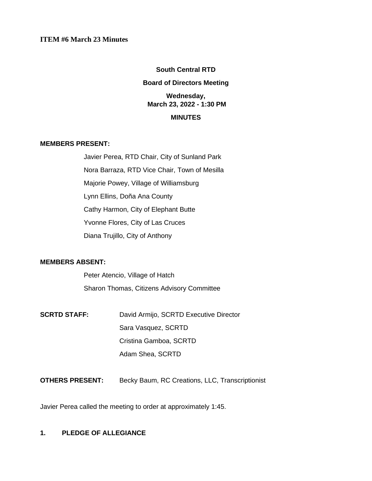## **ITEM #6 March 23 Minutes**

### **South Central RTD**

### **Board of Directors Meeting**

# **Wednesday, March 23, 2022 - 1:30 PM**

## **MINUTES**

## **MEMBERS PRESENT:**

Javier Perea, RTD Chair, City of Sunland Park Nora Barraza, RTD Vice Chair, Town of Mesilla Majorie Powey, Village of Williamsburg Lynn Ellins, Doña Ana County Cathy Harmon, City of Elephant Butte Yvonne Flores, City of Las Cruces Diana Trujillo, City of Anthony

### **MEMBERS ABSENT:**

Peter Atencio, Village of Hatch Sharon Thomas, Citizens Advisory Committee

- **SCRTD STAFF:** David Armijo, SCRTD Executive Director Sara Vasquez, SCRTD Cristina Gamboa, SCRTD Adam Shea, SCRTD
- **OTHERS PRESENT:** Becky Baum, RC Creations, LLC, Transcriptionist

Javier Perea called the meeting to order at approximately 1:45.

# **1. PLEDGE OF ALLEGIANCE**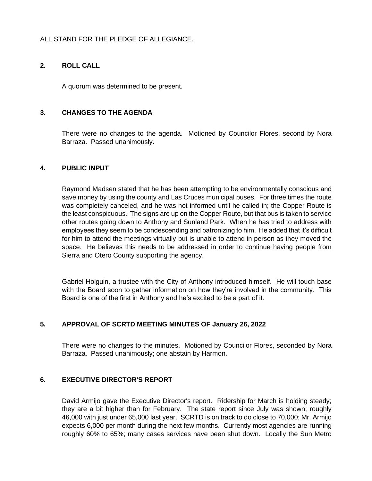# ALL STAND FOR THE PLEDGE OF ALLEGIANCE.

## **2. ROLL CALL**

A quorum was determined to be present.

## **3. CHANGES TO THE AGENDA**

There were no changes to the agenda. Motioned by Councilor Flores, second by Nora Barraza. Passed unanimously.

## **4. PUBLIC INPUT**

Raymond Madsen stated that he has been attempting to be environmentally conscious and save money by using the county and Las Cruces municipal buses. For three times the route was completely canceled, and he was not informed until he called in; the Copper Route is the least conspicuous. The signs are up on the Copper Route, but that bus is taken to service other routes going down to Anthony and Sunland Park. When he has tried to address with employees they seem to be condescending and patronizing to him. He added that it's difficult for him to attend the meetings virtually but is unable to attend in person as they moved the space. He believes this needs to be addressed in order to continue having people from Sierra and Otero County supporting the agency.

Gabriel Holguin, a trustee with the City of Anthony introduced himself. He will touch base with the Board soon to gather information on how they're involved in the community. This Board is one of the first in Anthony and he's excited to be a part of it.

# **5. APPROVAL OF SCRTD MEETING MINUTES OF January 26, 2022**

There were no changes to the minutes. Motioned by Councilor Flores, seconded by Nora Barraza. Passed unanimously; one abstain by Harmon.

### **6. EXECUTIVE DIRECTOR'S REPORT**

David Armijo gave the Executive Director's report. Ridership for March is holding steady; they are a bit higher than for February. The state report since July was shown; roughly 46,000 with just under 65,000 last year. SCRTD is on track to do close to 70,000; Mr. Armijo expects 6,000 per month during the next few months. Currently most agencies are running roughly 60% to 65%; many cases services have been shut down. Locally the Sun Metro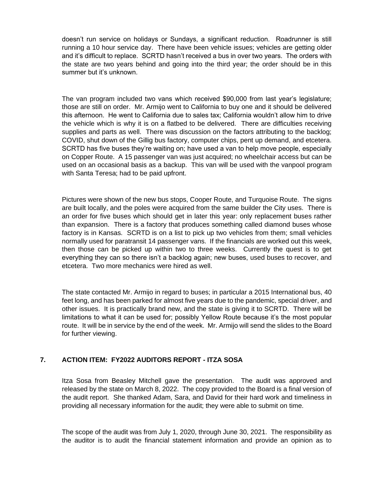doesn't run service on holidays or Sundays, a significant reduction. Roadrunner is still running a 10 hour service day. There have been vehicle issues; vehicles are getting older and it's difficult to replace. SCRTD hasn't received a bus in over two years. The orders with the state are two years behind and going into the third year; the order should be in this summer but it's unknown.

The van program included two vans which received \$90,000 from last year's legislature; those are still on order. Mr. Armijo went to California to buy one and it should be delivered this afternoon. He went to California due to sales tax; California wouldn't allow him to drive the vehicle which is why it is on a flatbed to be delivered. There are difficulties receiving supplies and parts as well. There was discussion on the factors attributing to the backlog; COVID, shut down of the Gillig bus factory, computer chips, pent up demand, and etcetera. SCRTD has five buses they're waiting on; have used a van to help move people, especially on Copper Route. A 15 passenger van was just acquired; no wheelchair access but can be used on an occasional basis as a backup. This van will be used with the vanpool program with Santa Teresa; had to be paid upfront.

Pictures were shown of the new bus stops, Cooper Route, and Turquoise Route. The signs are built locally, and the poles were acquired from the same builder the City uses. There is an order for five buses which should get in later this year: only replacement buses rather than expansion. There is a factory that produces something called diamond buses whose factory is in Kansas. SCRTD is on a list to pick up two vehicles from them; small vehicles normally used for paratransit 14 passenger vans. If the financials are worked out this week, then those can be picked up within two to three weeks. Currently the quest is to get everything they can so there isn't a backlog again; new buses, used buses to recover, and etcetera. Two more mechanics were hired as well.

The state contacted Mr. Armijo in regard to buses; in particular a 2015 International bus, 40 feet long, and has been parked for almost five years due to the pandemic, special driver, and other issues. It is practically brand new, and the state is giving it to SCRTD. There will be limitations to what it can be used for; possibly Yellow Route because it's the most popular route. It will be in service by the end of the week. Mr. Armijo will send the slides to the Board for further viewing.

# **7. ACTION ITEM: FY2022 AUDITORS REPORT - ITZA SOSA**

Itza Sosa from Beasley Mitchell gave the presentation. The audit was approved and released by the state on March 8, 2022. The copy provided to the Board is a final version of the audit report. She thanked Adam, Sara, and David for their hard work and timeliness in providing all necessary information for the audit; they were able to submit on time.

The scope of the audit was from July 1, 2020, through June 30, 2021. The responsibility as the auditor is to audit the financial statement information and provide an opinion as to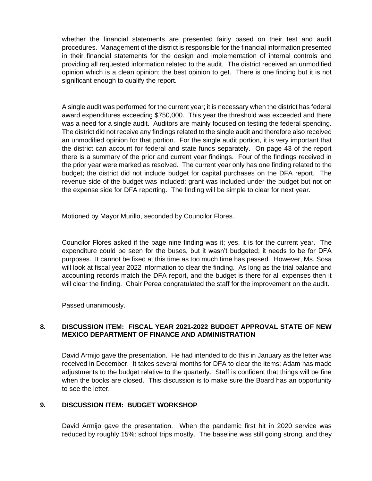whether the financial statements are presented fairly based on their test and audit procedures. Management of the district is responsible for the financial information presented in their financial statements for the design and implementation of internal controls and providing all requested information related to the audit. The district received an unmodified opinion which is a clean opinion; the best opinion to get. There is one finding but it is not significant enough to qualify the report.

A single audit was performed for the current year; it is necessary when the district has federal award expenditures exceeding \$750,000. This year the threshold was exceeded and there was a need for a single audit. Auditors are mainly focused on testing the federal spending. The district did not receive any findings related to the single audit and therefore also received an unmodified opinion for that portion. For the single audit portion, it is very important that the district can account for federal and state funds separately. On page 43 of the report there is a summary of the prior and current year findings. Four of the findings received in the prior year were marked as resolved. The current year only has one finding related to the budget; the district did not include budget for capital purchases on the DFA report. The revenue side of the budget was included; grant was included under the budget but not on the expense side for DFA reporting. The finding will be simple to clear for next year.

Motioned by Mayor Murillo, seconded by Councilor Flores.

Councilor Flores asked if the page nine finding was it; yes, it is for the current year. The expenditure could be seen for the buses, but it wasn't budgeted; it needs to be for DFA purposes. It cannot be fixed at this time as too much time has passed. However, Ms. Sosa will look at fiscal year 2022 information to clear the finding. As long as the trial balance and accounting records match the DFA report, and the budget is there for all expenses then it will clear the finding. Chair Perea congratulated the staff for the improvement on the audit.

Passed unanimously.

## **8. DISCUSSION ITEM: FISCAL YEAR 2021-2022 BUDGET APPROVAL STATE OF NEW MEXICO DEPARTMENT OF FINANCE AND ADMINISTRATION**

David Armijo gave the presentation. He had intended to do this in January as the letter was received in December. It takes several months for DFA to clear the items; Adam has made adjustments to the budget relative to the quarterly. Staff is confident that things will be fine when the books are closed. This discussion is to make sure the Board has an opportunity to see the letter.

## **9. DISCUSSION ITEM: BUDGET WORKSHOP**

David Armijo gave the presentation. When the pandemic first hit in 2020 service was reduced by roughly 15%: school trips mostly. The baseline was still going strong, and they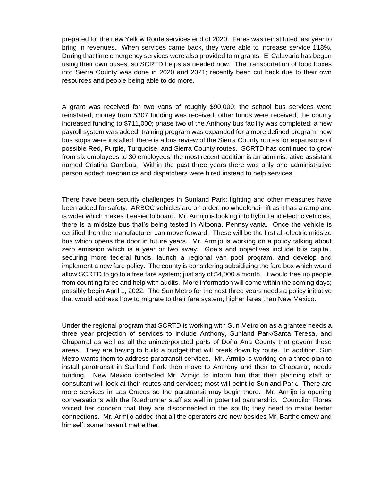prepared for the new Yellow Route services end of 2020. Fares was reinstituted last year to bring in revenues. When services came back, they were able to increase service 118%. During that time emergency services were also provided to migrants. El Calavario has begun using their own buses, so SCRTD helps as needed now. The transportation of food boxes into Sierra County was done in 2020 and 2021; recently been cut back due to their own resources and people being able to do more.

A grant was received for two vans of roughly \$90,000; the school bus services were reinstated; money from 5307 funding was received; other funds were received; the county increased funding to \$711,000; phase two of the Anthony bus facility was completed; a new payroll system was added; training program was expanded for a more defined program; new bus stops were installed; there is a bus review of the Sierra County routes for expansions of possible Red, Purple, Turquoise, and Sierra County routes. SCRTD has continued to grow from six employees to 30 employees; the most recent addition is an administrative assistant named Cristina Gamboa. Within the past three years there was only one administrative person added; mechanics and dispatchers were hired instead to help services.

There have been security challenges in Sunland Park; lighting and other measures have been added for safety. ARBOC vehicles are on order; no wheelchair lift as it has a ramp and is wider which makes it easier to board. Mr. Armijo is looking into hybrid and electric vehicles; there is a midsize bus that's being tested in Altoona, Pennsylvania. Once the vehicle is certified then the manufacturer can move forward. These will be the first all-electric midsize bus which opens the door in future years. Mr. Armijo is working on a policy talking about zero emission which is a year or two away. Goals and objectives include bus capital, securing more federal funds, launch a regional van pool program, and develop and implement a new fare policy. The county is considering subsidizing the fare box which would allow SCRTD to go to a free fare system; just shy of \$4,000 a month. It would free up people from counting fares and help with audits. More information will come within the coming days; possibly begin April 1, 2022. The Sun Metro for the next three years needs a policy initiative that would address how to migrate to their fare system; higher fares than New Mexico.

Under the regional program that SCRTD is working with Sun Metro on as a grantee needs a three year projection of services to include Anthony, Sunland Park/Santa Teresa, and Chaparral as well as all the unincorporated parts of Doña Ana County that govern those areas. They are having to build a budget that will break down by route. In addition, Sun Metro wants them to address paratransit services. Mr. Armijo is working on a three plan to install paratransit in Sunland Park then move to Anthony and then to Chaparral; needs funding. New Mexico contacted Mr. Armijo to inform him that their planning staff or consultant will look at their routes and services; most will point to Sunland Park. There are more services in Las Cruces so the paratransit may begin there. Mr. Armijo is opening conversations with the Roadrunner staff as well in potential partnership. Councilor Flores voiced her concern that they are disconnected in the south; they need to make better connections. Mr. Armijo added that all the operators are new besides Mr. Bartholomew and himself; some haven't met either.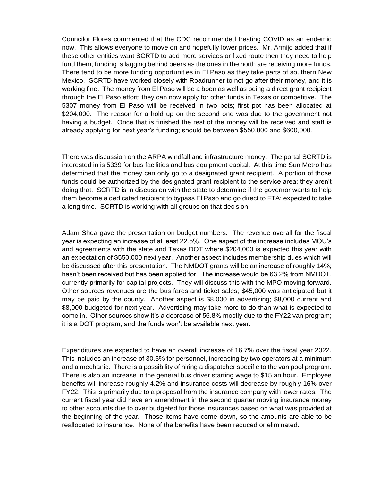Councilor Flores commented that the CDC recommended treating COVID as an endemic now. This allows everyone to move on and hopefully lower prices. Mr. Armijo added that if these other entities want SCRTD to add more services or fixed route then they need to help fund them; funding is lagging behind peers as the ones in the north are receiving more funds. There tend to be more funding opportunities in El Paso as they take parts of southern New Mexico. SCRTD have worked closely with Roadrunner to not go after their money, and it is working fine. The money from El Paso will be a boon as well as being a direct grant recipient through the El Paso effort; they can now apply for other funds in Texas or competitive. The 5307 money from El Paso will be received in two pots; first pot has been allocated at \$204,000. The reason for a hold up on the second one was due to the government not having a budget. Once that is finished the rest of the money will be received and staff is already applying for next year's funding; should be between \$550,000 and \$600,000.

There was discussion on the ARPA windfall and infrastructure money. The portal SCRTD is interested in is 5339 for bus facilities and bus equipment capital. At this time Sun Metro has determined that the money can only go to a designated grant recipient. A portion of those funds could be authorized by the designated grant recipient to the service area; they aren't doing that. SCRTD is in discussion with the state to determine if the governor wants to help them become a dedicated recipient to bypass El Paso and go direct to FTA; expected to take a long time. SCRTD is working with all groups on that decision.

Adam Shea gave the presentation on budget numbers. The revenue overall for the fiscal year is expecting an increase of at least 22.5%. One aspect of the increase includes MOU's and agreements with the state and Texas DOT where \$204,000 is expected this year with an expectation of \$550,000 next year. Another aspect includes membership dues which will be discussed after this presentation. The NMDOT grants will be an increase of roughly 14%; hasn't been received but has been applied for. The increase would be 63.2% from NMDOT, currently primarily for capital projects. They will discuss this with the MPO moving forward. Other sources revenues are the bus fares and ticket sales; \$45,000 was anticipated but it may be paid by the county. Another aspect is \$8,000 in advertising; \$8,000 current and \$8,000 budgeted for next year. Advertising may take more to do than what is expected to come in. Other sources show it's a decrease of 56.8% mostly due to the FY22 van program; it is a DOT program, and the funds won't be available next year.

Expenditures are expected to have an overall increase of 16.7% over the fiscal year 2022. This includes an increase of 30.5% for personnel, increasing by two operators at a minimum and a mechanic. There is a possibility of hiring a dispatcher specific to the van pool program. There is also an increase in the general bus driver starting wage to \$15 an hour. Employee benefits will increase roughly 4.2% and insurance costs will decrease by roughly 16% over FY22. This is primarily due to a proposal from the insurance company with lower rates. The current fiscal year did have an amendment in the second quarter moving insurance money to other accounts due to over budgeted for those insurances based on what was provided at the beginning of the year. Those items have come down, so the amounts are able to be reallocated to insurance. None of the benefits have been reduced or eliminated.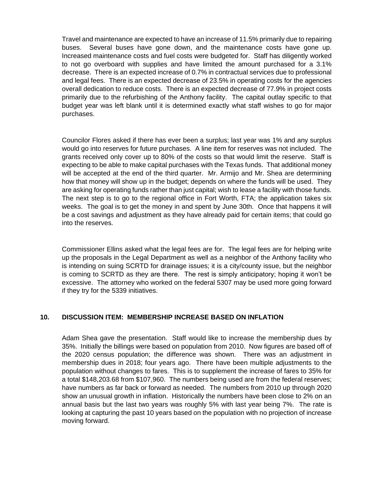Travel and maintenance are expected to have an increase of 11.5% primarily due to repairing buses. Several buses have gone down, and the maintenance costs have gone up. Increased maintenance costs and fuel costs were budgeted for. Staff has diligently worked to not go overboard with supplies and have limited the amount purchased for a 3.1% decrease. There is an expected increase of 0.7% in contractual services due to professional and legal fees. There is an expected decrease of 23.5% in operating costs for the agencies overall dedication to reduce costs. There is an expected decrease of 77.9% in project costs primarily due to the refurbishing of the Anthony facility. The capital outlay specific to that budget year was left blank until it is determined exactly what staff wishes to go for major purchases.

Councilor Flores asked if there has ever been a surplus; last year was 1% and any surplus would go into reserves for future purchases. A line item for reserves was not included. The grants received only cover up to 80% of the costs so that would limit the reserve. Staff is expecting to be able to make capital purchases with the Texas funds. That additional money will be accepted at the end of the third quarter. Mr. Armijo and Mr. Shea are determining how that money will show up in the budget; depends on where the funds will be used. They are asking for operating funds rather than just capital; wish to lease a facility with those funds. The next step is to go to the regional office in Fort Worth, FTA; the application takes six weeks. The goal is to get the money in and spent by June 30th. Once that happens it will be a cost savings and adjustment as they have already paid for certain items; that could go into the reserves.

Commissioner Ellins asked what the legal fees are for. The legal fees are for helping write up the proposals in the Legal Department as well as a neighbor of the Anthony facility who is intending on suing SCRTD for drainage issues; it is a city/county issue, but the neighbor is coming to SCRTD as they are there. The rest is simply anticipatory; hoping it won't be excessive. The attorney who worked on the federal 5307 may be used more going forward if they try for the 5339 initiatives.

# **10. DISCUSSION ITEM: MEMBERSHIP INCREASE BASED ON INFLATION**

Adam Shea gave the presentation. Staff would like to increase the membership dues by 35%. Initially the billings were based on population from 2010. Now figures are based off of the 2020 census population; the difference was shown. There was an adjustment in membership dues in 2018; four years ago. There have been multiple adjustments to the population without changes to fares. This is to supplement the increase of fares to 35% for a total \$148,203.68 from \$107,960. The numbers being used are from the federal reserves; have numbers as far back or forward as needed. The numbers from 2010 up through 2020 show an unusual growth in inflation. Historically the numbers have been close to 2% on an annual basis but the last two years was roughly 5% with last year being 7%. The rate is looking at capturing the past 10 years based on the population with no projection of increase moving forward.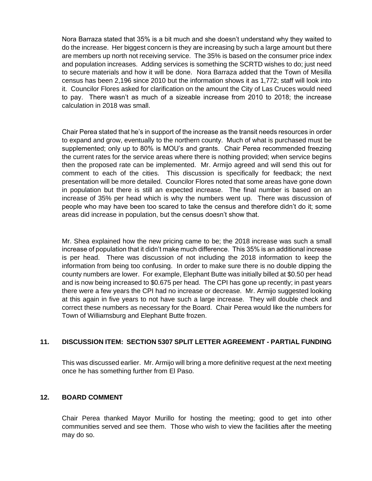Nora Barraza stated that 35% is a bit much and she doesn't understand why they waited to do the increase. Her biggest concern is they are increasing by such a large amount but there are members up north not receiving service. The 35% is based on the consumer price index and population increases. Adding services is something the SCRTD wishes to do; just need to secure materials and how it will be done. Nora Barraza added that the Town of Mesilla census has been 2,196 since 2010 but the information shows it as 1,772; staff will look into it. Councilor Flores asked for clarification on the amount the City of Las Cruces would need to pay. There wasn't as much of a sizeable increase from 2010 to 2018; the increase calculation in 2018 was small.

Chair Perea stated that he's in support of the increase as the transit needs resources in order to expand and grow, eventually to the northern county. Much of what is purchased must be supplemented; only up to 80% is MOU's and grants. Chair Perea recommended freezing the current rates for the service areas where there is nothing provided; when service begins then the proposed rate can be implemented. Mr. Armijo agreed and will send this out for comment to each of the cities. This discussion is specifically for feedback; the next presentation will be more detailed. Councilor Flores noted that some areas have gone down in population but there is still an expected increase. The final number is based on an increase of 35% per head which is why the numbers went up. There was discussion of people who may have been too scared to take the census and therefore didn't do it; some areas did increase in population, but the census doesn't show that.

Mr. Shea explained how the new pricing came to be; the 2018 increase was such a small increase of population that it didn't make much difference. This 35% is an additional increase is per head. There was discussion of not including the 2018 information to keep the information from being too confusing. In order to make sure there is no double dipping the county numbers are lower. For example, Elephant Butte was initially billed at \$0.50 per head and is now being increased to \$0.675 per head. The CPI has gone up recently; in past years there were a few years the CPI had no increase or decrease. Mr. Armijo suggested looking at this again in five years to not have such a large increase. They will double check and correct these numbers as necessary for the Board. Chair Perea would like the numbers for Town of Williamsburg and Elephant Butte frozen.

# **11. DISCUSSION ITEM: SECTION 5307 SPLIT LETTER AGREEMENT - PARTIAL FUNDING**

This was discussed earlier. Mr. Armijo will bring a more definitive request at the next meeting once he has something further from El Paso.

# **12. BOARD COMMENT**

Chair Perea thanked Mayor Murillo for hosting the meeting; good to get into other communities served and see them. Those who wish to view the facilities after the meeting may do so.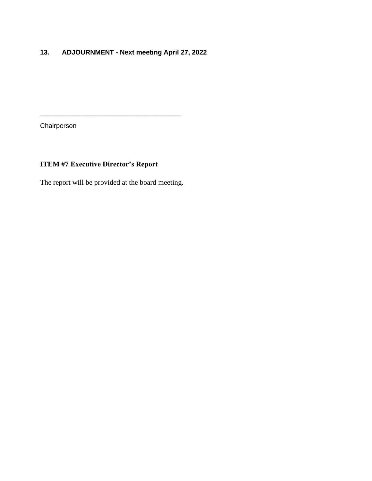# **13. ADJOURNMENT - Next meeting April 27, 2022**

Chairperson

# **ITEM #7 Executive Director's Report**

The report will be provided at the board meeting.

\_\_\_\_\_\_\_\_\_\_\_\_\_\_\_\_\_\_\_\_\_\_\_\_\_\_\_\_\_\_\_\_\_\_\_\_\_\_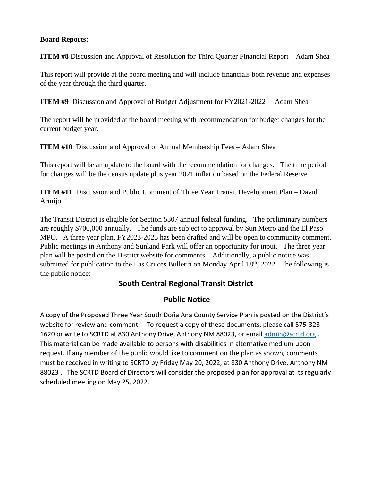# **Board Reports:**

**ITEM #8** Discussion and Approval of Resolution for Third Quarter Financial Report – Adam Shea

This report will provide at the board meeting and will include financials both revenue and expenses of the year through the third quarter.

**ITEM #9** Discussion and Approval of Budget Adjustment for FY2021-2022 – Adam Shea

The report will be provided at the board meeting with recommendation for budget changes for the current budget year.

**ITEM #10** Discussion and Approval of Annual Membership Fees – Adam Shea

This report will be an update to the board with the recommendation for changes. The time period for changes will be the census update plus year 2021 inflation based on the Federal Reserve

**ITEM #11** Discussion and Public Comment of Three Year Transit Development Plan – David Armijo

The Transit District is eligible for Section 5307 annual federal funding. The preliminary numbers are roughly \$700,000 annually. The funds are subject to approval by Sun Metro and the El Paso MPO. A three year plan, FY2023-2025 has been drafted and will be open to community comment. Public meetings in Anthony and Sunland Park will offer an opportunity for input. The three year plan will be posted on the District website for comments. Additionally, a public notice was submitted for publication to the Las Cruces Bulletin on Monday April  $18<sup>th</sup>$ , 2022. The following is the public notice:

# **South Central Regional Transit District**

# **Public Notice**

A copy of the Proposed Three Year South Doña Ana County Service Plan is posted on the District's website for review and comment. To request a copy of these documents, please call 575-323 1620 or write to SCRTD at 830 Anthony Drive, Anthony NM 88023, or email [admin@scrtd.org](mailto:admin@scrtd.org). This material can be made available to persons with disabilities in alternative medium upon request. If any member of the public would like to comment on the plan as shown, comments must be received in writing to SCRTD by Friday May 20, 2022, at 830 Anthony Drive, Anthony NM 88023 . The SCRTD Board of Directors will consider the proposed plan for approval at its regularly scheduled meeting on May 25, 2022.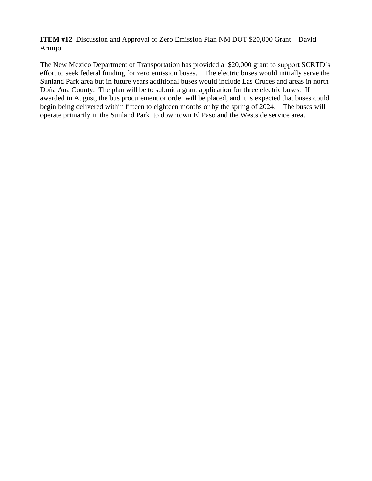**ITEM #12** Discussion and Approval of Zero Emission Plan NM DOT \$20,000 Grant – David Armijo

The New Mexico Department of Transportation has provided a \$20,000 grant to support SCRTD's effort to seek federal funding for zero emission buses. The electric buses would initially serve the Sunland Park area but in future years additional buses would include Las Cruces and areas in north Doña Ana County. The plan will be to submit a grant application for three electric buses. If awarded in August, the bus procurement or order will be placed, and it is expected that buses could begin being delivered within fifteen to eighteen months or by the spring of 2024. The buses will operate primarily in the Sunland Park to downtown El Paso and the Westside service area.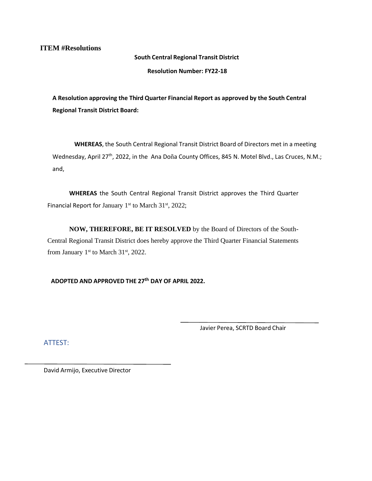**ITEM #Resolutions**

**South Central Regional Transit District** 

**Resolution Number: FY22-18**

**A Resolution approving the Third Quarter Financial Report as approved by the South Central Regional Transit District Board:**

**WHEREAS**, the South Central Regional Transit District Board of Directors met in a meeting Wednesday, April 27<sup>th</sup>, 2022, in the Ana Doña County Offices, 845 N. Motel Blvd., Las Cruces, N.M.; and,

**WHEREAS** the South Central Regional Transit District approves the Third Quarter Financial Report for January  $1<sup>st</sup>$  to March 31 $<sup>st</sup>$ , 2022;</sup>

**NOW, THEREFORE, BE IT RESOLVED** by the Board of Directors of the South-Central Regional Transit District does hereby approve the Third Quarter Financial Statements from January  $1<sup>st</sup>$  to March  $31<sup>st</sup>$ , 2022.

**ADOPTED AND APPROVED THE 27 th DAY OF APRIL 2022.**

Javier Perea, SCRTD Board Chair

ATTEST: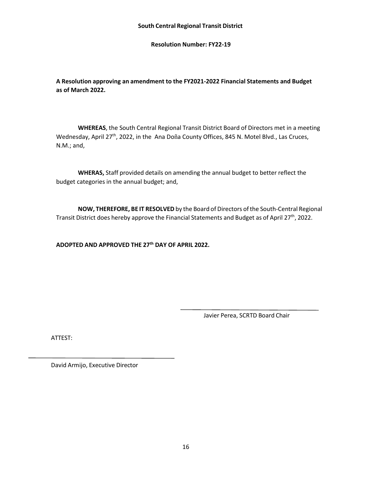**Resolution Number: FY22-19**

**A Resolution approving an amendment to the FY2021-2022 Financial Statements and Budget as of March 2022.**

**WHEREAS**, the South Central Regional Transit District Board of Directors met in a meeting Wednesday, April 27<sup>th</sup>, 2022, in the Ana Doña County Offices, 845 N. Motel Blvd., Las Cruces, N.M.; and,

**WHERAS,** Staff provided details on amending the annual budget to better reflect the budget categories in the annual budget; and,

**NOW, THEREFORE, BE IT RESOLVED** by the Board of Directors ofthe South-Central Regional Transit District does hereby approve the Financial Statements and Budget as of April 27<sup>th</sup>, 2022.

**ADOPTED AND APPROVED THE 27th DAY OF APRIL 2022.**

Javier Perea, SCRTD Board Chair

ATTEST: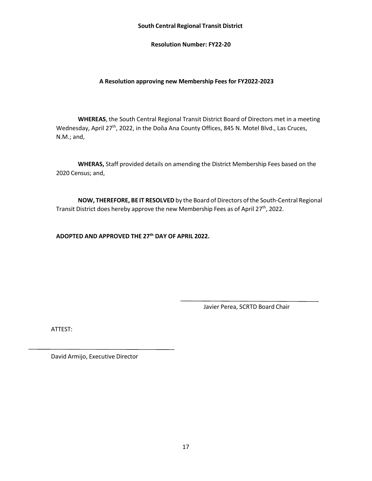#### **South Central Regional Transit District**

**Resolution Number: FY22-20**

### **A Resolution approving new Membership Fees for FY2022-2023**

**WHEREAS**, the South Central Regional Transit District Board of Directors met in a meeting Wednesday, April 27<sup>th</sup>, 2022, in the Doña Ana County Offices, 845 N. Motel Blvd., Las Cruces, N.M.; and,

**WHERAS,** Staff provided details on amending the District Membership Fees based on the 2020 Census; and,

**NOW, THEREFORE, BE IT RESOLVED** by the Board of Directors ofthe South-Central Regional Transit District does hereby approve the new Membership Fees as of April 27<sup>th</sup>, 2022.

**ADOPTED AND APPROVED THE 27th DAY OF APRIL 2022.**

Javier Perea, SCRTD Board Chair

ATTEST: